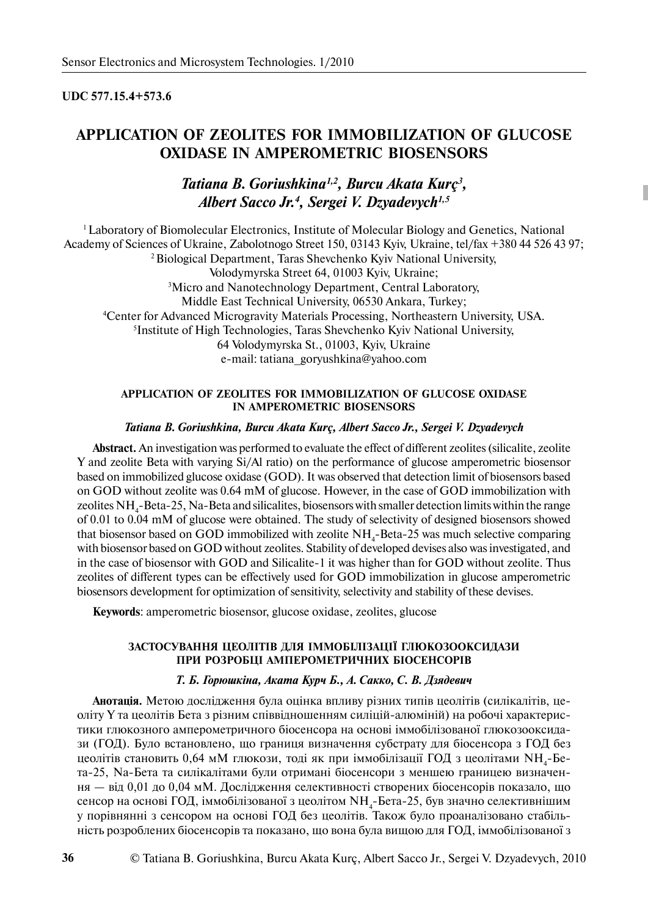## **UDC 577.15.4+573.6**

# **APPLICATION OF ZEOLITES FOR IMMOBILIZATION OF GLUCOSE OXIDASE IN AMPEROMETRIC BIOSENSORS**

## *Tatiana B. Goriushkina1,2, Burcu Akata Kurç<sup>3</sup> , Albert Sacco Jr.4 , Sergei V. Dzyadevych1,5*

<sup>1</sup> Laboratory of Biomolecular Electronics, Institute of Molecular Biology and Genetics, National Academy of Sciences of Ukraine, Zabolotnogo Street 150, 03143 Kyiv, Ukraine, tel/fax +380 44 526 43 97; 2 Biological Department, Taras Shevchenko Kyiv National University, Volodymyrska Street 64, 01003 Kyiv, Ukraine; 3 Micro and Nanotechnology Department, Central Laboratory, Middle East Technical University, 06530 Ankara, Turkey; 4 Center for Advanced Microgravity Materials Processing, Northeastern University, USA. 5 Institute of High Technologies, Taras Shevchenko Kyiv National University, 64 Volodymyrska St., 01003, Kyiv, Ukraine e-mail: tatiana\_goryushkina@yahoo.com

## **APPLICATION OF ZEOLITES FOR IMMOBILIZATION OF GLUCOSE OXIDASE IN AMPEROMETRIC BIOSENSORS**

## *Tatiana B. Goriushkina, Burcu Akata Kurç, Albert Sacco Jr., Sergei V. Dzyadevych*

**Abstract.** An investigation was performed to evaluate the effect of different zeolites (silicalite, zeolite Y and zeolite Beta with varying Si/Al ratio) on the performance of glucose amperometric biosensor based on immobilized glucose oxidase (GOD). It was observed that detection limit of biosensors based on GOD without zeolite was 0.64 mM of glucose. However, in the case of GOD immobilization with zeolites  $NH_{4}$ -Beta-25, Na-Beta and silicalites, biosensors with smaller detection limits within the range of 0.01 to 0.04 mM of glucose were obtained. The study of selectivity of designed biosensors showed that biosensor based on GOD immobilized with zeolite  $NH_{4}$ -Beta-25 was much selective comparing with biosensor based on GOD without zeolites. Stability of developed devises also was investigated, and in the case of biosensor with GOD and Silicalite-1 it was higher than for GOD without zeolite. Thus zeolites of different types can be effectively used for GOD immobilization in glucose amperometric biosensors development for optimization of sensitivity, selectivity and stability of these devises.

**Keywords**: amperometric biosensor, glucose oxidase, zeolites, glucose

## ЗАСТОСУВАННЯ ЦЕОЛІТІВ ДЛЯ ІММОБІЛІЗАЦІЇ ГЛЮКОЗООКСИДАЗИ ПРИ РОЗРОБЦІ АМПЕРОМЕТРИЧНИХ БІОСЕНСОРІВ

#### Т. Б. Горюшкіна, Аката Курч Б., А. Сакко, С. В. Дзядевич

Анотація. Метою дослідження була оцінка впливу різних типів цеолітів (силікалітів, цеоліту Ү та цеолітів Бета з різним співвідношенням силіцій-алюміній) на робочі характеристики глюкозного амперометричного біосенсора на основі іммобілізованої глюкозооксидази (ГОД). Було встановлено, що границя визначення субстрату для біосенсора з ГОД без цеолітів становить 0,64 мМ глюкози, тоді як при іммобілізації ГОД з цеолітами  $\mathrm{NH}_{\mathrm{\textbf{4}}}$ -Бета-25, Na-Бета та силікалітами були отримані біосенсори з меншею границею визначення — від 0,01 до 0,04 мМ. Дослідження селективності створених біосенсорів показало, що сенсор на основі ГОД, іммобілізованої з цеолітом NH<sub>4</sub>-Бета-25, був значно селективнішим у порівнянні з сенсором на основі ГОД без цеолітів. Також було проаналізовано стабільність розроблених біосенсорів та показано, що вона була вищою для ГОД, іммобілізованої з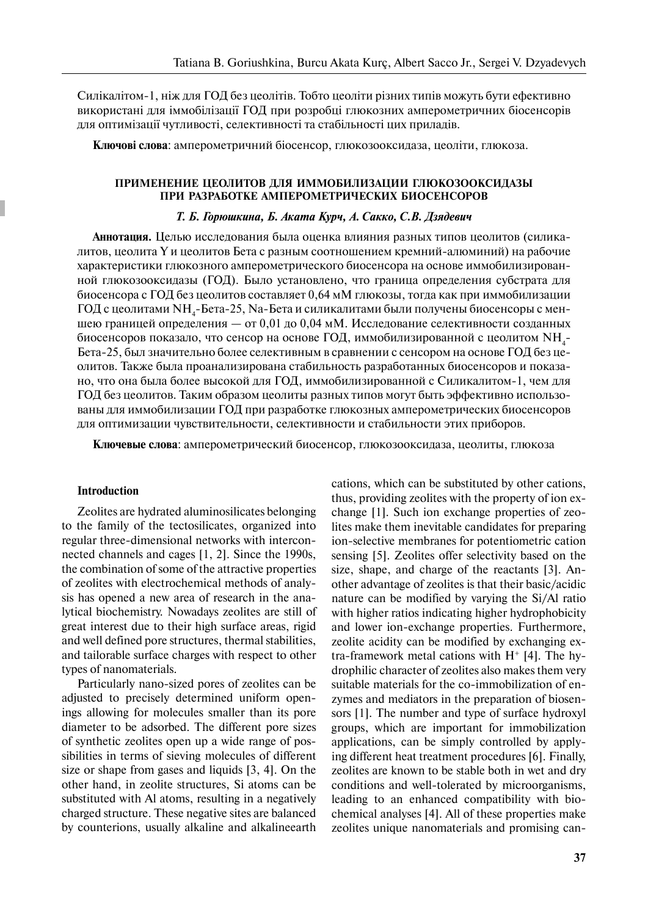Силікалітом-1, ніж для ГОД без цеолітів. Тобто цеоліти різних типів можуть бути ефективно використані для іммобілізації ГОД при розробці глюкозних амперометричних біосенсорів для оптимізації чутливості, селективності та стабільності цих приладів.

**Ключові слова**: амперометричний біосенсор, глюкозооксидаза, цеоліти, глюкоза.

## ПРИМЕНЕНИЕ ЦЕОЛИТОВ ДЛЯ ИММОБИЛИЗАЦИИ ГЛЮКОЗООКСИЛАЗЫ ПРИ РАЗРАБОТКЕ АМПЕРОМЕТРИЧЕСКИХ БИОСЕНСОРОВ

#### **Т. Б. Горюшкина, Б. Аката Курч, А. Сакко, С.В. Дзядевич**

**Аннотация.** Целью исследования была оценка влияния разных типов цеолитов (силикалитов, цеолита Y и цеолитов Бета с разным соотношением кремний-алюминий) на рабочие характеристики глюкозного амперометрического биосенсора на основе иммобилизированной глюкозооксидазы (ГОД). Было установлено, что граница определения субстрата для биосенсора с ГОД без цеолитов составляет 0,64 мМ глюкозы, тогда как при иммобилизации ГОД с цеолитами NH<sub>4</sub>-Бета-25, Nа-Бета и силикалитами были получены биосенсоры с меншею границей определения — от 0,01 до 0,04 мМ. Исследование селективности созданных биосенсоров показало, что сенсор на основе ГОД, иммобилизированной с цеолитом NH<sub>4</sub>-Бета-25, был значительно более селективным в сравнении с сенсором на основе ГОД без цеолитов. Также была проанализирована стабильность разработанных биосенсоров и показано, что она была более высокой для ГОД, иммобилизированной с Силикалитом-1, чем для ГОД без цеолитов. Таким образом цеолиты разных типов могут быть эффективно использованы для иммобилизации ГОД при разработке глюкозных амперометрических биосенсоров для оптимизации чувствительности, селективности и стабильности этих приборов.

Ключевые слова: амперометрический биосенсор, глюкозооксидаза, цеолиты, глюкоза

#### **Introduction**

Zeolites are hydrated aluminosilicates belonging to the family of the tectosilicates, organized into regular three-dimensional networks with interconnected channels and cages [1, 2]. Since the 1990s, the combination of some of the attractive properties of zeolites with electrochemical methods of analysis has opened a new area of research in the analytical biochemistry. Nowadays zeolites are still of great interest due to their high surface areas, rigid and well defined pore structures, thermal stabilities, and tailorable surface charges with respect to other types of nanomaterials.

Particularly nano-sized pores of zeolites can be adjusted to precisely determined uniform openings allowing for molecules smaller than its pore diameter to be adsorbed. The different pore sizes of synthetic zeolites open up a wide range of possibilities in terms of sieving molecules of different size or shape from gases and liquids [3, 4]. On the other hand, in zeolite structures, Si atoms can be substituted with Al atoms, resulting in a negatively charged structure. These negative sites are balanced by counterions, usually alkaline and alkalineearth cations, which can be substituted by other cations, thus, providing zeolites with the property of ion exchange [1]. Such ion exchange properties of zeolites make them inevitable candidates for preparing ion-selective membranes for potentiometric cation sensing [5]. Zeolites offer selectivity based on the size, shape, and charge of the reactants [3]. Another advantage of zeolites is that their basic/acidic nature can be modified by varying the Si/Al ratio with higher ratios indicating higher hydrophobicity and lower ion-exchange properties. Furthermore, zeolite acidity can be modified by exchanging extra-framework metal cations with  $H^+$  [4]. The hydrophilic character of zeolites also makes them very suitable materials for the co-immobilization of enzymes and mediators in the preparation of biosensors [1]. The number and type of surface hydroxyl groups, which are important for immobilization applications, can be simply controlled by applying different heat treatment procedures [6]. Finally, zeolites are known to be stable both in wet and dry conditions and well-tolerated by microorganisms, leading to an enhanced compatibility with biochemical analyses [4]. All of these properties make zeolites unique nanomaterials and promising can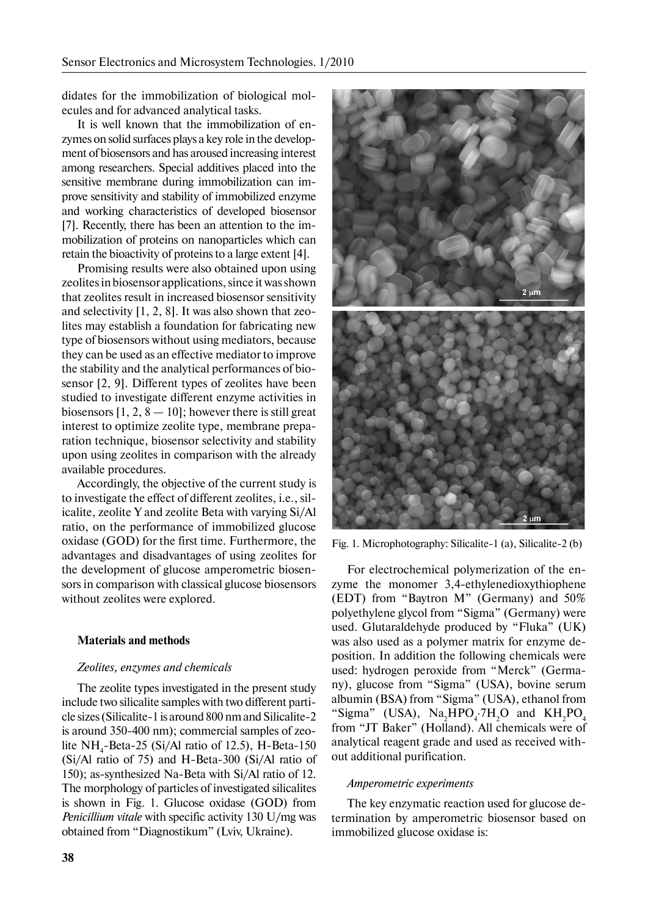didates for the immobilization of biological molecules and for advanced analytical tasks.

It is well known that the immobilization of enzymes on solid surfaces plays a key role in the development of biosensors and has aroused increasing interest among researchers. Special additives placed into the sensitive membrane during immobilization can improve sensitivity and stability of immobilized enzyme and working characteristics of developed biosensor [7]. Recently, there has been an attention to the immobilization of proteins on nanoparticles which can retain the bioactivity of proteins to a large extent [4].

Promising results were also obtained upon using zeolites in biosensor applications, since it was shown that zeolites result in increased biosensor sensitivity and selectivity [1, 2, 8]. It was also shown that zeolites may establish a foundation for fabricating new type of biosensors without using mediators, because they can be used as an effective mediator to improve the stability and the analytical performances of biosensor [2, 9]. Different types of zeolites have been studied to investigate different enzyme activities in biosensors  $[1, 2, 8 - 10]$ ; however there is still great interest to optimize zeolite type, membrane preparation technique, biosensor selectivity and stability upon using zeolites in comparison with the already available procedures.

Accordingly, the objective of the current study is to investigate the effect of different zeolites, i.e., silicalite, zeolite Y and zeolite Beta with varying Si/Al ratio, on the performance of immobilized glucose oxidase (GOD) for the first time. Furthermore, the advantages and disadvantages of using zeolites for the development of glucose amperometric biosensors in comparison with classical glucose biosensors without zeolites were explored.

## **Materials and methods**

#### *Zeolites, enzymes and chemicals*

The zeolite types investigated in the present study include two silicalite samples with two different particle sizes (Silicalite-1 is around 800 nm and Silicalite-2 is around 350-400 nm); commercial samples of zeolite  $NH_{4}$ -Beta-25 (Si/Al ratio of 12.5), H-Beta-150 (Si/Al ratio of 75) and H-Beta-300 (Si/Al ratio of 150); as-synthesized Na-Beta with Si/Al ratio of 12. The morphology of particles of investigated silicalites is shown in Fig. 1. Glucose oxidase (GOD) from *Penicillium vitale* with specific activity 130 U/mg was obtained from "Diagnostikum" (Lviv, Ukraine).



Fig. 1. Microphotography: Silicalite-1 (a), Silicalite-2 (b)

For electrochemical polymerization of the enzyme the monomer 3,4-ethylenedioxythiophene (EDT) from "Baytron M" (Germany) and 50% polyethylene glycol from "Sigma" (Germany) were used. Glutaraldehyde produced by "Fluka" (UK) was also used as a polymer matrix for enzyme deposition. In addition the following chemicals were used: hydrogen peroxide from "Merck" (Germany), glucose from "Sigma" (USA), bovine serum albumin (BSA) from "Sigma" (USA), ethanol from "Sigma" (USA),  $\text{Na}_2\text{HPO}_4$ :7H<sub>2</sub>O and  $\text{KH}_2\text{PO}_4$ from "JT Baker" (Holland). All chemicals were of analytical reagent grade and used as received without additional purification.

#### *Amperometric experiments*

The key enzymatic reaction used for glucose determination by amperometric biosensor based on immobilized glucose oxidase is: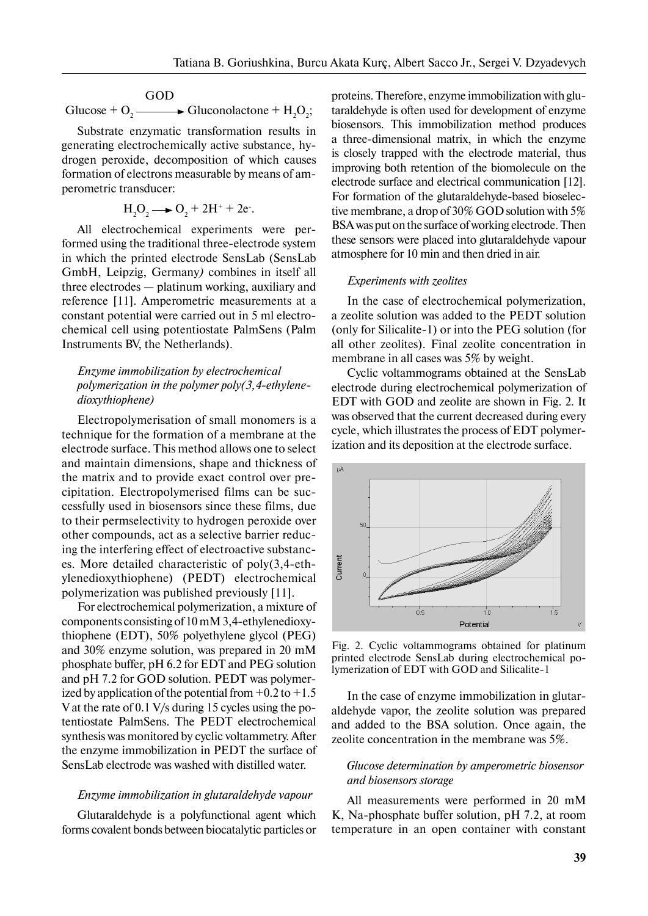GOD

Glucose +  $O_2 \longrightarrow$  Gluconolactone +  $H_2O_2$ ;

Substrate enzymatic transformation results in generating electrochemically active substance, hydrogen peroxide, decomposition of which causes formation of electrons measurable by means of amperometric transducer:

$$
H_2O_2 \longrightarrow O_2 + 2H^+ + 2e^-.
$$

All electrochemical experiments were performed using the traditional three-electrode system in which the printed electrode SensLab (SensLab GmbH, Leipzig, Germany*)* combines in itself all three electrodes — platinum working, auxiliary and reference [11]. Amperometric measurements at a constant potential were carried out in 5 ml electrochemical cell using potentiostate PalmSens (Palm Instruments BV, the Netherlands).

## *Enzyme immobilization by electrochemical polymerization in the polymer poly(3,4-ethylenedioxythiophene)*

Electropolymerisation of small monomers is a technique for the formation of a membrane at the electrode surface. This method allows one to select and maintain dimensions, shape and thickness of the matrix and to provide exact control over precipitation. Electropolymerised films can be successfully used in biosensors since these films, due to their permselectivity to hydrogen peroxide over other compounds, act as a selective barrier reducing the interfering effect of electroactive substances. More detailed characteristic of poly(3,4-ethylenedioxythiophene) (PEDT) electrochemical polymerization was published previously [11].

For electrochemical polymerization, a mixture of components consisting of  $10 \text{ mM } 3,4$ -ethylenedioxythiophene (EDT), 50% polyethylene glycol (PEG) and  $30\%$  enzyme solution, was prepared in 20 mM phosphate buffer, pH 6.2 for EDT and PEG solution and pH 7.2 for GOD solution. PEDT was polymerized by application of the potential from  $+0.2$  to  $+1.5$ V at the rate of 0.1 V/s during 15 cycles using the potentiostate PalmSens. The PEDT electrochemical synthesis was monitored by cyclic voltammetry. After the enzyme immobilization in PEDT the surface of SensLab electrode was washed with distilled water.

## *Enzyme immobilization in glutaraldehyde vapour*

Glutaraldehyde is a polyfunctional agent which forms covalent bonds between biocatalytic particles or proteins. Therefore, enzyme immobilization with glutaraldehyde is often used for development of enzyme biosensors. This immobilization method produces a three-dimensional matrix, in which the enzyme is closely trapped with the electrode material, thus improving both retention of the biomolecule on the electrode surface and electrical communication [12]. For formation of the glutaraldehyde-based bioselective membrane, a drop of 30% GOD solution with 5% BSA was put on the surface of working electrode. Then these sensors were placed into glutaraldehyde vapour atmosphere for 10 min and then dried in air.

## *Experiments with zeolites*

In the case of electrochemical polymerization, a zeolite solution was added to the PEDT solution (only for Silicalite-1) or into the PEG solution (for all other zeolites). Final zeolite concentration in membrane in all cases was 5% by weight.

Cyclic voltammograms obtained at the SensLab electrode during electrochemical polymerization of EDT with GOD and zeolite are shown in Fig. 2. It was observed that the current decreased during every cycle, which illustrates the process of EDT polymerization and its deposition at the electrode surface.



Fig. 2. Cyclic voltammograms obtained for platinum printed electrode SensLab during electrochemical polymerization of EDT with GOD and Silicalite-1

In the case of enzyme immobilization in glutaraldehyde vapor, the zeolite solution was prepared and added to the BSA solution. Once again, the zeolite concentration in the membrane was 5%.

## *Glucose determination by amperometric biosensor and biosensors storage*

All measurements were performed in 20 mM K, Na-phosphate buffer solution, pH 7.2, at room temperature in an open container with constant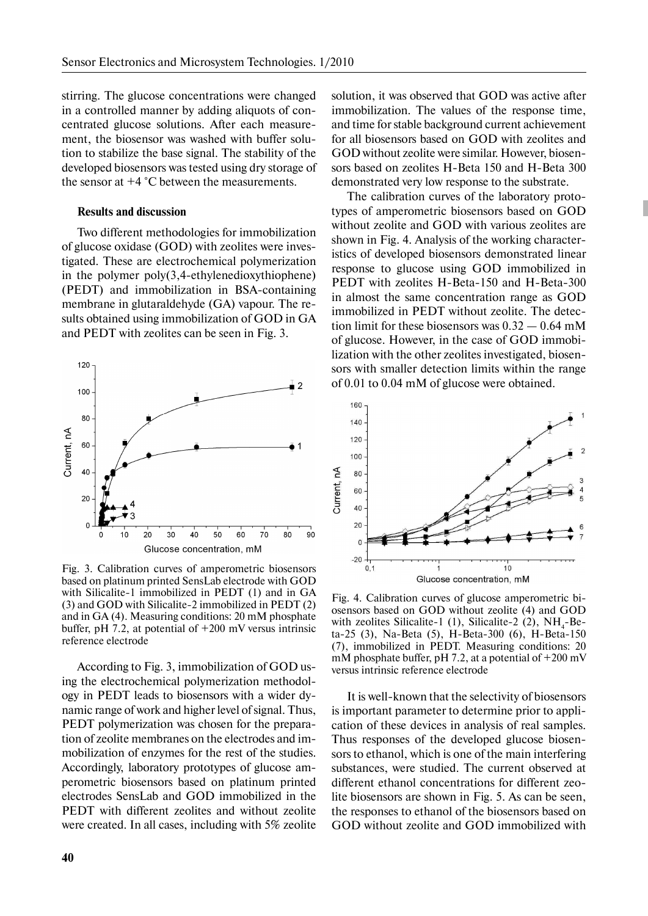stirring. The glucose concentrations were changed in a controlled manner by adding aliquots of concentrated glucose solutions. After each measurement, the biosensor was washed with buffer solution to stabilize the base signal. The stability of the developed biosensors was tested using dry storage of the sensor at  $+4$  °C between the measurements.

## **Results and discussion**

Two different methodologies for immobilization of glucose oxidase (GOD) with zeolites were investigated. These are electrochemical polymerization in the polymer poly(3,4-ethylenedioxythiophene) (PEDT) and immobilization in BSA-containing membrane in glutaraldehyde (GA) vapour. The results obtained using immobilization of GOD in GA and PEDT with zeolites can be seen in Fig. 3.



Fig. 3. Calibration curves of amperometric biosensors based on platinum printed SensLab electrode with GOD with Silicalite-1 immobilized in PEDT (1) and in GA (3) and GOD with Silicalite-2 immobilized in PEDT (2) and in GA (4). Measuring conditions: 20 mM phosphate buffer, pH 7.2, at potential of +200 mV versus intrinsic reference electrode

According to Fig. 3, immobilization of GOD using the electrochemical polymerization methodology in PEDT leads to biosensors with a wider dynamic range of work and higher level of signal. Thus, PEDT polymerization was chosen for the preparation of zeolite membranes on the electrodes and immobilization of enzymes for the rest of the studies. Accordingly, laboratory prototypes of glucose amperometric biosensors based on platinum printed electrodes SensLab and GOD immobilized in the PEDT with different zeolites and without zeolite were created. In all cases, including with 5% zeolite solution, it was observed that GOD was active after immobilization. The values of the response time, and time for stable background current achievement for all biosensors based on GOD with zeolites and GOD without zeolite were similar. However, biosensors based on zeolites H-Beta 150 and H-Beta 300 demonstrated very low response to the substrate.

The calibration curves of the laboratory prototypes of amperometric biosensors based on GOD without zeolite and GOD with various zeolites are shown in Fig. 4. Analysis of the working characteristics of developed biosensors demonstrated linear response to glucose using GOD immobilized in PEDT with zeolites H-Beta-150 and H-Beta-300 in almost the same concentration range as GOD immobilized in PEDT without zeolite. The detection limit for these biosensors was  $0.32 - 0.64$  mM of glucose. However, in the case of GOD immobilization with the other zeolites investigated, biosensors with smaller detection limits within the range of 0.01 to 0.04 mM of glucose were obtained.



Fig. 4. Calibration curves of glucose amperometric biosensors based on GOD without zeolite (4) and GOD with zeolites Silicalite-1 (1), Silicalite-2 (2),  $NH_4$ -Beta-25 (3), Na-Beta (5), H-Beta-300 (6), H-Beta-150 (7), immobilized in PEDT. Measuring conditions: 20 mM phosphate buffer, pH 7.2, at a potential of  $+200$  mV versus intrinsic reference electrode

It is well-known that the selectivity of biosensors is important parameter to determine prior to application of these devices in analysis of real samples. Thus responses of the developed glucose biosensors to ethanol, which is one of the main interfering substances, were studied. The current observed at different ethanol concentrations for different zeolite biosensors are shown in Fig. 5. As can be seen, the responses to ethanol of the biosensors based on GOD without zeolite and GOD immobilized with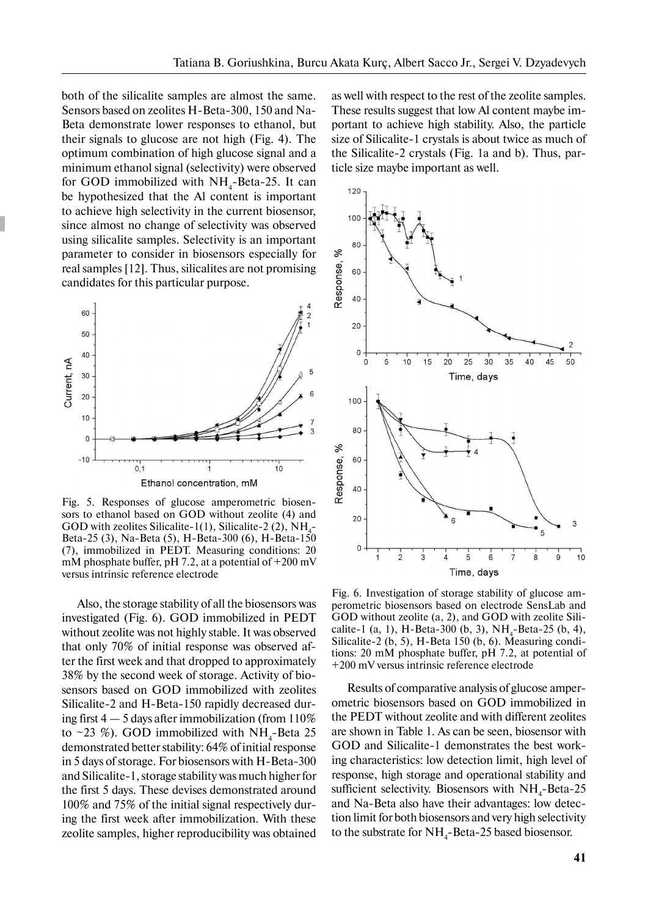both of the silicalite samples are almost the same. Sensors based on zeolites H-Beta-300, 150 and Na-Beta demonstrate lower responses to ethanol, but their signals to glucose are not high (Fig. 4). The optimum combination of high glucose signal and a minimum ethanol signal (selectivity) were observed for GOD immobilized with  $NH<sub>4</sub>$ -Beta-25. It can be hypothesized that the Al content is important to achieve high selectivity in the current biosensor, since almost no change of selectivity was observed using silicalite samples. Selectivity is an important parameter to consider in biosensors especially for real samples [12]. Thus, silicalites are not promising candidates for this particular purpose.



Fig. 5. Responses of glucose amperometric biosensors to ethanol based on GOD without zeolite (4) and GOD with zeolites Silicalite-1(1), Silicalite-2 (2),  $NH_4$ -Beta-25 (3), Na-Beta (5), H-Beta-300 (6), H-Beta-150 (7), immobilized in PEDT. Measuring conditions: 20 mM phosphate buffer, pH 7.2, at a potential of +200 mV versus intrinsic reference electrode

Also, the storage stability of all the biosensors was investigated (Fig. 6). GOD immobilized in PEDT without zeolite was not highly stable. It was observed that only 70% of initial response was observed after the first week and that dropped to approximately 38% by the second week of storage. Activity of biosensors based on GOD immobilized with zeolites Silicalite-2 and H-Beta-150 rapidly decreased during first  $4 - 5$  days after immobilization (from 110%) to ~23 %). GOD immobilized with  $NH_{4}$ -Beta 25 demonstrated better stability: 64% of initial response in 5 days of storage. For biosensors with H-Beta-300 and Silicalite-1, storage stability was much higher for the first 5 days. These devises demonstrated around 100% and 75% of the initial signal respectively during the first week after immobilization. With these zeolite samples, higher reproducibility was obtained

as well with respect to the rest of the zeolite samples. These results suggest that low Al content maybe important to achieve high stability. Also, the particle size of Silicalite-1 crystals is about twice as much of the Silicalite-2 crystals (Fig. 1a and b). Thus, particle size maybe important as well.



Fig. 6. Investigation of storage stability of glucose amperometric biosensors based on electrode SensLab and GOD without zeolite (a, 2), and GOD with zeolite Silicalite-1 (a, 1), H-Beta-300 (b, 3),  $NH_4$ -Beta-25 (b, 4), Silicalite-2 (b, 5), H-Beta 150 (b, 6). Measuring conditions: 20 mM phosphate buffer, pH 7.2, at potential of +200 mV versus intrinsic reference electrode

Results of comparative analysis of glucose amperometric biosensors based on GOD immobilized in the PEDT without zeolite and with different zeolites are shown in Table 1. As can be seen, biosensor with GOD and Silicalite-1 demonstrates the best working characteristics: low detection limit, high level of response, high storage and operational stability and sufficient selectivity. Biosensors with  $NH<sub>4</sub>$ -Beta-25 and Na-Beta also have their advantages: low detection limit for both biosensors and very high selectivity to the substrate for  $NH_{4}$ -Beta-25 based biosensor.